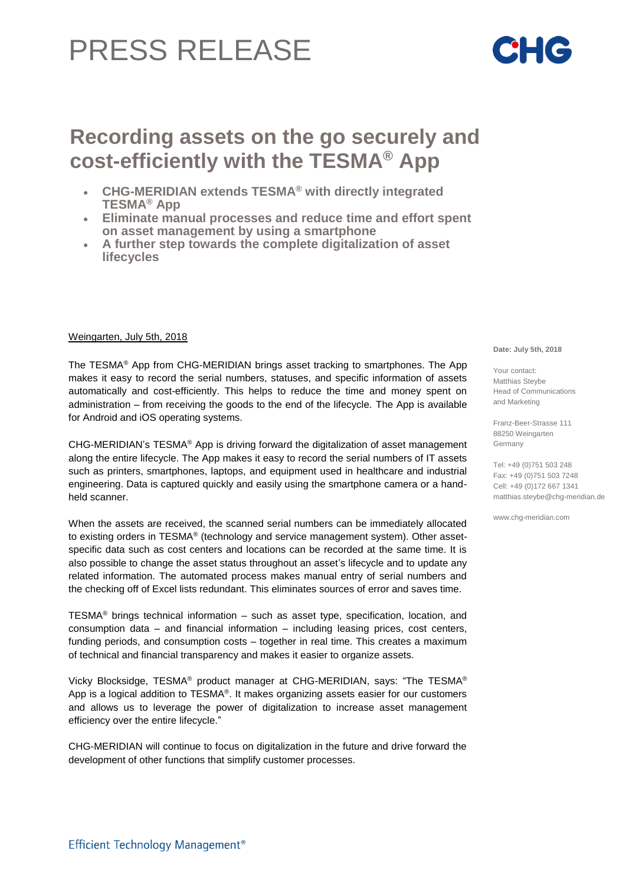## PRESS RELEASE

## **Recording assets on the go securely and cost-efficiently with the TESMA® App**

- **CHG-MERIDIAN extends TESMA® with directly integrated TESMA® App**
- **Eliminate manual processes and reduce time and effort spent on asset management by using a smartphone**
- **A further step towards the complete digitalization of asset lifecycles**

## Weingarten, July 5th, 2018

The TESMA® App from CHG-MERIDIAN brings asset tracking to smartphones. The App makes it easy to record the serial numbers, statuses, and specific information of assets automatically and cost-efficiently. This helps to reduce the time and money spent on administration – from receiving the goods to the end of the lifecycle. The App is available for Android and iOS operating systems.

 $CHG-MERIDIAN's TESMA<sup>®</sup> App is driving forward the digitalization of asset management$ along the entire lifecycle. The App makes it easy to record the serial numbers of IT assets such as printers, smartphones, laptops, and equipment used in healthcare and industrial engineering. Data is captured quickly and easily using the smartphone camera or a handheld scanner.

When the assets are received, the scanned serial numbers can be immediately allocated to existing orders in TESMA® (technology and service management system). Other assetspecific data such as cost centers and locations can be recorded at the same time. It is also possible to change the asset status throughout an asset's lifecycle and to update any related information. The automated process makes manual entry of serial numbers and the checking off of Excel lists redundant. This eliminates sources of error and saves time.

TESMA<sup>®</sup> brings technical information – such as asset type, specification, location, and consumption data – and financial information – including leasing prices, cost centers, funding periods, and consumption costs – together in real time. This creates a maximum of technical and financial transparency and makes it easier to organize assets.

Vicky Blocksidge, TESMA® product manager at CHG-MERIDIAN, says: "The TESMA® App is a logical addition to TESMA®. It makes organizing assets easier for our customers and allows us to leverage the power of digitalization to increase asset management efficiency over the entire lifecycle."

CHG-MERIDIAN will continue to focus on digitalization in the future and drive forward the development of other functions that simplify customer processes.

**Date: July 5th, 2018**

Your contact: Matthias Steybe Head of Communications and Marketing

Franz-Beer-Strasse 111 88250 Weingarten Germany

Tel: +49 (0)751 503 248 Fax: +49 (0)751 503 7248 Cell: +49 (0)172 667 1341 matthias.steybe@chg-meridian.de

www.chg-meridian.com